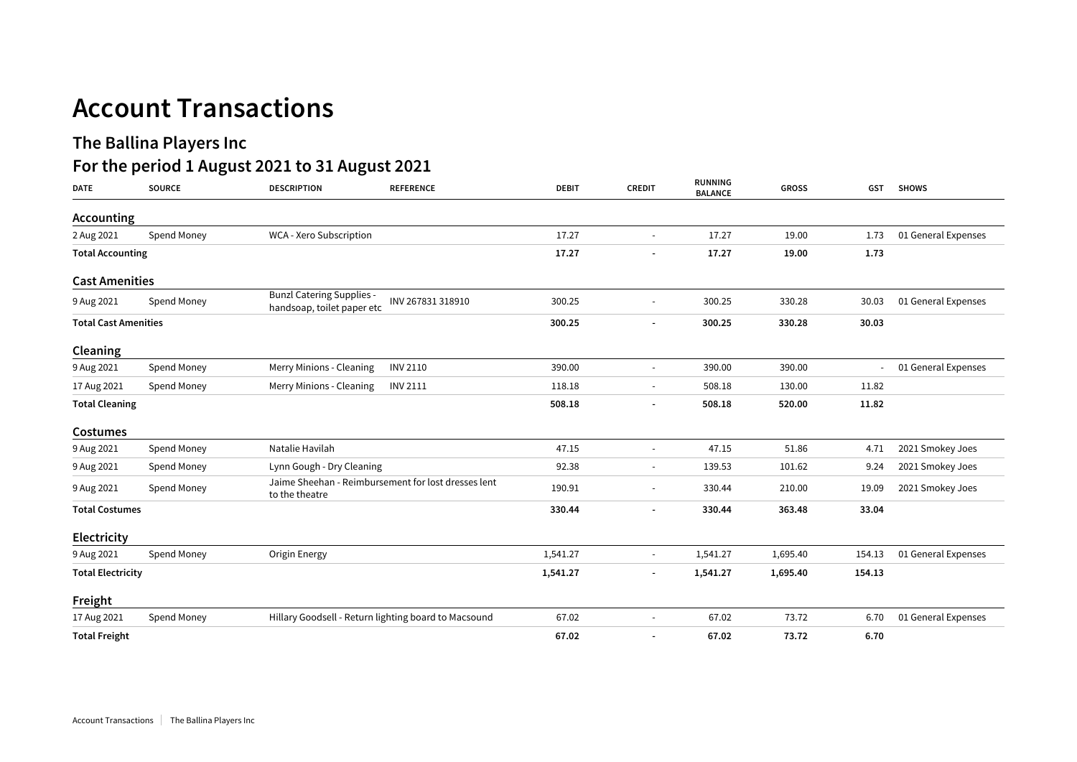## **Account Transactions**

## **The Ballina Players Inc**

## **For the period 1 August 2021 to 31 August 2021**

| <b>DATE</b>                 | <b>SOURCE</b> | <b>DESCRIPTION</b>                                                    | <b>REFERENCE</b>  | <b>DEBIT</b> | <b>CREDIT</b>            | <b>RUNNING</b><br><b>BALANCE</b> | <b>GROSS</b> | <b>GST</b> | <b>SHOWS</b>        |
|-----------------------------|---------------|-----------------------------------------------------------------------|-------------------|--------------|--------------------------|----------------------------------|--------------|------------|---------------------|
| Accounting                  |               |                                                                       |                   |              |                          |                                  |              |            |                     |
| 2 Aug 2021                  | Spend Money   | WCA - Xero Subscription                                               |                   | 17.27        | $\sim$                   | 17.27                            | 19.00        | 1.73       | 01 General Expenses |
| <b>Total Accounting</b>     |               |                                                                       |                   | 17.27        |                          | 17.27                            | 19.00        | 1.73       |                     |
| <b>Cast Amenities</b>       |               |                                                                       |                   |              |                          |                                  |              |            |                     |
| 9 Aug 2021                  | Spend Money   | <b>Bunzl Catering Supplies -</b><br>handsoap, toilet paper etc        | INV 267831 318910 | 300.25       | $\overline{\phantom{a}}$ | 300.25                           | 330.28       | 30.03      | 01 General Expenses |
| <b>Total Cast Amenities</b> |               |                                                                       |                   | 300.25       | $\overline{\phantom{a}}$ | 300.25                           | 330.28       | 30.03      |                     |
| Cleaning                    |               |                                                                       |                   |              |                          |                                  |              |            |                     |
| 9 Aug 2021                  | Spend Money   | Merry Minions - Cleaning                                              | <b>INV 2110</b>   | 390.00       | $\sim$                   | 390.00                           | 390.00       | $\sim 100$ | 01 General Expenses |
| 17 Aug 2021                 | Spend Money   | Merry Minions - Cleaning                                              | <b>INV 2111</b>   | 118.18       |                          | 508.18                           | 130.00       | 11.82      |                     |
| <b>Total Cleaning</b>       |               |                                                                       |                   | 508.18       | $\overline{\phantom{a}}$ | 508.18                           | 520.00       | 11.82      |                     |
| <b>Costumes</b>             |               |                                                                       |                   |              |                          |                                  |              |            |                     |
| 9 Aug 2021                  | Spend Money   | Natalie Havilah                                                       |                   | 47.15        | $\overline{\phantom{a}}$ | 47.15                            | 51.86        | 4.71       | 2021 Smokey Joes    |
| 9 Aug 2021                  | Spend Money   | Lynn Gough - Dry Cleaning                                             |                   | 92.38        | $\sim$                   | 139.53                           | 101.62       | 9.24       | 2021 Smokey Joes    |
| 9 Aug 2021                  | Spend Money   | Jaime Sheehan - Reimbursement for lost dresses lent<br>to the theatre |                   | 190.91       |                          | 330.44                           | 210.00       | 19.09      | 2021 Smokey Joes    |
| <b>Total Costumes</b>       |               |                                                                       |                   | 330.44       |                          | 330.44                           | 363.48       | 33.04      |                     |
| Electricity                 |               |                                                                       |                   |              |                          |                                  |              |            |                     |
| 9 Aug 2021                  | Spend Money   | Origin Energy                                                         |                   | 1,541.27     | $\sim$                   | 1,541.27                         | 1,695.40     | 154.13     | 01 General Expenses |
| <b>Total Electricity</b>    |               |                                                                       |                   | 1,541.27     | $\overline{\phantom{a}}$ | 1,541.27                         | 1,695.40     | 154.13     |                     |
| Freight                     |               |                                                                       |                   |              |                          |                                  |              |            |                     |
| 17 Aug 2021                 | Spend Money   | Hillary Goodsell - Return lighting board to Macsound                  |                   | 67.02        |                          | 67.02                            | 73.72        | 6.70       | 01 General Expenses |
| <b>Total Freight</b>        |               |                                                                       |                   | 67.02        |                          | 67.02                            | 73.72        | 6.70       |                     |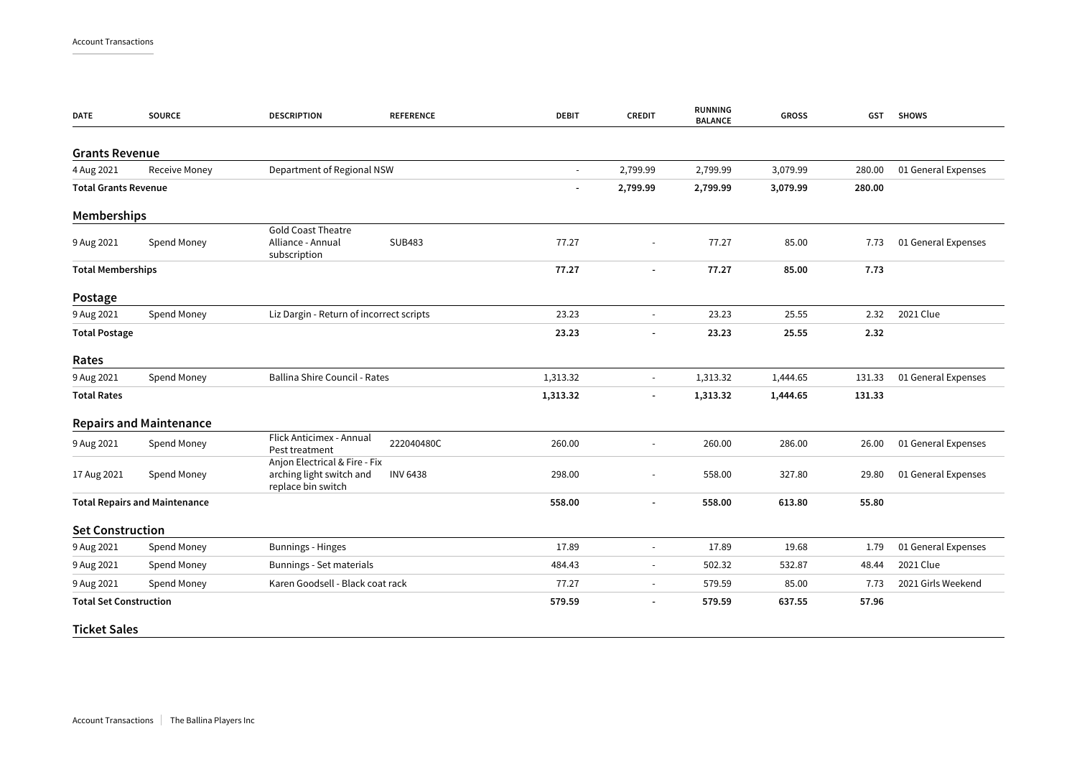| <b>DATE</b>                          | <b>SOURCE</b>                  | <b>DESCRIPTION</b>                                                              | <b>REFERENCE</b> | <b>DEBIT</b>   | <b>CREDIT</b>            | <b>RUNNING</b><br><b>BALANCE</b> | <b>GROSS</b> | GST    | <b>SHOWS</b>        |
|--------------------------------------|--------------------------------|---------------------------------------------------------------------------------|------------------|----------------|--------------------------|----------------------------------|--------------|--------|---------------------|
| <b>Grants Revenue</b>                |                                |                                                                                 |                  |                |                          |                                  |              |        |                     |
| 4 Aug 2021                           | <b>Receive Money</b>           | Department of Regional NSW                                                      |                  |                | 2,799.99                 | 2,799.99                         | 3,079.99     | 280.00 | 01 General Expenses |
| <b>Total Grants Revenue</b>          |                                |                                                                                 |                  | ٠              | 2,799.99                 | 2,799.99                         | 3,079.99     | 280.00 |                     |
| <b>Memberships</b>                   |                                |                                                                                 |                  |                |                          |                                  |              |        |                     |
| 9 Aug 2021                           | Spend Money                    | <b>Gold Coast Theatre</b><br>Alliance - Annual<br>subscription                  | <b>SUB483</b>    | 77.27          |                          | 77.27                            | 85.00        | 7.73   | 01 General Expenses |
| <b>Total Memberships</b>             |                                |                                                                                 | 77.27            |                | 77.27                    | 85.00                            | 7.73         |        |                     |
| Postage                              |                                |                                                                                 |                  |                |                          |                                  |              |        |                     |
| 9 Aug 2021                           | Spend Money                    | Liz Dargin - Return of incorrect scripts                                        |                  | 23.23          | $\blacksquare$           | 23.23                            | 25.55        | 2.32   | 2021 Clue           |
| <b>Total Postage</b>                 |                                |                                                                                 |                  | 23.23          | $\overline{a}$           | 23.23                            | 25.55        | 2.32   |                     |
| Rates                                |                                |                                                                                 |                  |                |                          |                                  |              |        |                     |
| 9 Aug 2021                           | Spend Money                    | Ballina Shire Council - Rates                                                   |                  | 1,313.32       | $\overline{\phantom{a}}$ | 1,313.32                         | 1,444.65     | 131.33 | 01 General Expenses |
| <b>Total Rates</b>                   |                                |                                                                                 |                  | 1,313.32       | $\overline{\phantom{a}}$ | 1,313.32                         | 1,444.65     | 131.33 |                     |
|                                      | <b>Repairs and Maintenance</b> |                                                                                 |                  |                |                          |                                  |              |        |                     |
| 9 Aug 2021                           | Spend Money                    | Flick Anticimex - Annual<br>Pest treatment                                      | 222040480C       | 260.00         | $\blacksquare$           | 260.00                           | 286.00       | 26.00  | 01 General Expenses |
| 17 Aug 2021                          | Spend Money                    | Anjon Electrical & Fire - Fix<br>arching light switch and<br>replace bin switch | <b>INV 6438</b>  | 298.00         |                          | 558.00                           | 327.80       | 29.80  | 01 General Expenses |
| <b>Total Repairs and Maintenance</b> |                                |                                                                                 | 558.00           | $\blacksquare$ | 558.00                   | 613.80                           | 55.80        |        |                     |
| <b>Set Construction</b>              |                                |                                                                                 |                  |                |                          |                                  |              |        |                     |
| 9 Aug 2021                           | Spend Money                    | <b>Bunnings - Hinges</b>                                                        |                  | 17.89          | $\overline{\phantom{a}}$ | 17.89                            | 19.68        | 1.79   | 01 General Expenses |
| 9 Aug 2021                           | Spend Money                    | Bunnings - Set materials                                                        |                  | 484.43         | $\sim$                   | 502.32                           | 532.87       | 48.44  | 2021 Clue           |
| 9 Aug 2021                           | Spend Money                    | Karen Goodsell - Black coat rack                                                |                  | 77.27          | $\blacksquare$           | 579.59                           | 85.00        | 7.73   | 2021 Girls Weekend  |
| <b>Total Set Construction</b>        |                                |                                                                                 |                  | 579.59         | $\overline{\phantom{a}}$ | 579.59                           | 637.55       | 57.96  |                     |
| <b>Ticket Sales</b>                  |                                |                                                                                 |                  |                |                          |                                  |              |        |                     |